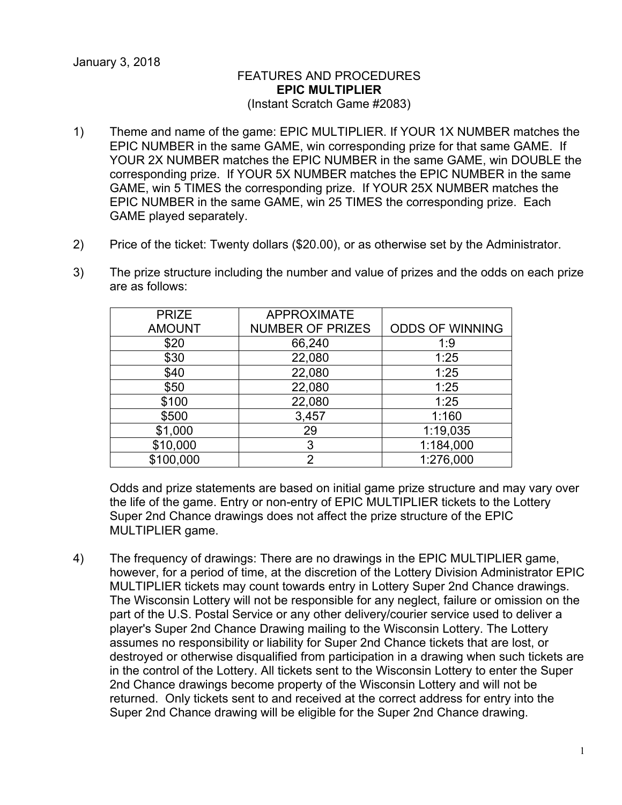## FEATURES AND PROCEDURES **EPIC MULTIPLIER** (Instant Scratch Game #2083)

- 1) Theme and name of the game: EPIC MULTIPLIER. If YOUR 1X NUMBER matches the EPIC NUMBER in the same GAME, win corresponding prize for that same GAME. If YOUR 2X NUMBER matches the EPIC NUMBER in the same GAME, win DOUBLE the corresponding prize. If YOUR 5X NUMBER matches the EPIC NUMBER in the same GAME, win 5 TIMES the corresponding prize. If YOUR 25X NUMBER matches the EPIC NUMBER in the same GAME, win 25 TIMES the corresponding prize. Each GAME played separately.
- 2) Price of the ticket: Twenty dollars (\$20.00), or as otherwise set by the Administrator.
- 3) The prize structure including the number and value of prizes and the odds on each prize are as follows:

| <b>PRIZE</b>  | <b>APPROXIMATE</b>      |                        |
|---------------|-------------------------|------------------------|
| <b>AMOUNT</b> | <b>NUMBER OF PRIZES</b> | <b>ODDS OF WINNING</b> |
| \$20          | 66,240                  | 1:9                    |
| \$30          | 22,080                  | 1:25                   |
| \$40          | 22,080                  | 1:25                   |
| \$50          | 22,080                  | 1:25                   |
| \$100         | 22,080                  | 1:25                   |
| \$500         | 3,457                   | 1:160                  |
| \$1,000       | 29                      | 1:19,035               |
| \$10,000      | 3                       | 1:184,000              |
| \$100,000     | 2                       | 1:276,000              |

Odds and prize statements are based on initial game prize structure and may vary over the life of the game. Entry or non-entry of EPIC MULTIPLIER tickets to the Lottery Super 2nd Chance drawings does not affect the prize structure of the EPIC MULTIPLIER game.

4) The frequency of drawings: There are no drawings in the EPIC MULTIPLIER game, however, for a period of time, at the discretion of the Lottery Division Administrator EPIC MULTIPLIER tickets may count towards entry in Lottery Super 2nd Chance drawings. The Wisconsin Lottery will not be responsible for any neglect, failure or omission on the part of the U.S. Postal Service or any other delivery/courier service used to deliver a player's Super 2nd Chance Drawing mailing to the Wisconsin Lottery. The Lottery assumes no responsibility or liability for Super 2nd Chance tickets that are lost, or destroyed or otherwise disqualified from participation in a drawing when such tickets are in the control of the Lottery. All tickets sent to the Wisconsin Lottery to enter the Super 2nd Chance drawings become property of the Wisconsin Lottery and will not be returned. Only tickets sent to and received at the correct address for entry into the Super 2nd Chance drawing will be eligible for the Super 2nd Chance drawing.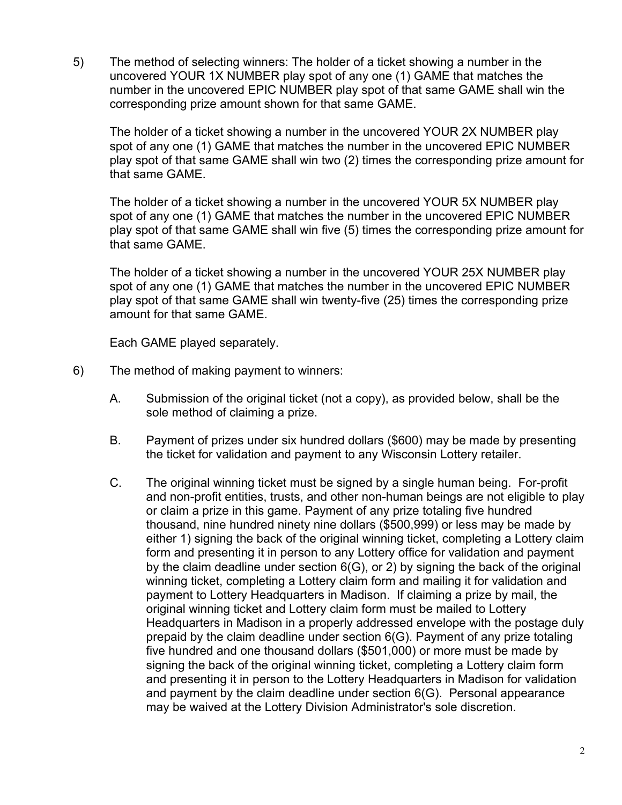5) The method of selecting winners: The holder of a ticket showing a number in the uncovered YOUR 1X NUMBER play spot of any one (1) GAME that matches the number in the uncovered EPIC NUMBER play spot of that same GAME shall win the corresponding prize amount shown for that same GAME.

The holder of a ticket showing a number in the uncovered YOUR 2X NUMBER play spot of any one (1) GAME that matches the number in the uncovered EPIC NUMBER play spot of that same GAME shall win two (2) times the corresponding prize amount for that same GAME.

The holder of a ticket showing a number in the uncovered YOUR 5X NUMBER play spot of any one (1) GAME that matches the number in the uncovered EPIC NUMBER play spot of that same GAME shall win five (5) times the corresponding prize amount for that same GAME.

The holder of a ticket showing a number in the uncovered YOUR 25X NUMBER play spot of any one (1) GAME that matches the number in the uncovered EPIC NUMBER play spot of that same GAME shall win twenty-five (25) times the corresponding prize amount for that same GAME.

Each GAME played separately.

- 6) The method of making payment to winners:
	- A. Submission of the original ticket (not a copy), as provided below, shall be the sole method of claiming a prize.
	- B. Payment of prizes under six hundred dollars (\$600) may be made by presenting the ticket for validation and payment to any Wisconsin Lottery retailer.
	- C. The original winning ticket must be signed by a single human being. For-profit and non-profit entities, trusts, and other non-human beings are not eligible to play or claim a prize in this game. Payment of any prize totaling five hundred thousand, nine hundred ninety nine dollars (\$500,999) or less may be made by either 1) signing the back of the original winning ticket, completing a Lottery claim form and presenting it in person to any Lottery office for validation and payment by the claim deadline under section 6(G), or 2) by signing the back of the original winning ticket, completing a Lottery claim form and mailing it for validation and payment to Lottery Headquarters in Madison. If claiming a prize by mail, the original winning ticket and Lottery claim form must be mailed to Lottery Headquarters in Madison in a properly addressed envelope with the postage duly prepaid by the claim deadline under section 6(G). Payment of any prize totaling five hundred and one thousand dollars (\$501,000) or more must be made by signing the back of the original winning ticket, completing a Lottery claim form and presenting it in person to the Lottery Headquarters in Madison for validation and payment by the claim deadline under section 6(G). Personal appearance may be waived at the Lottery Division Administrator's sole discretion.